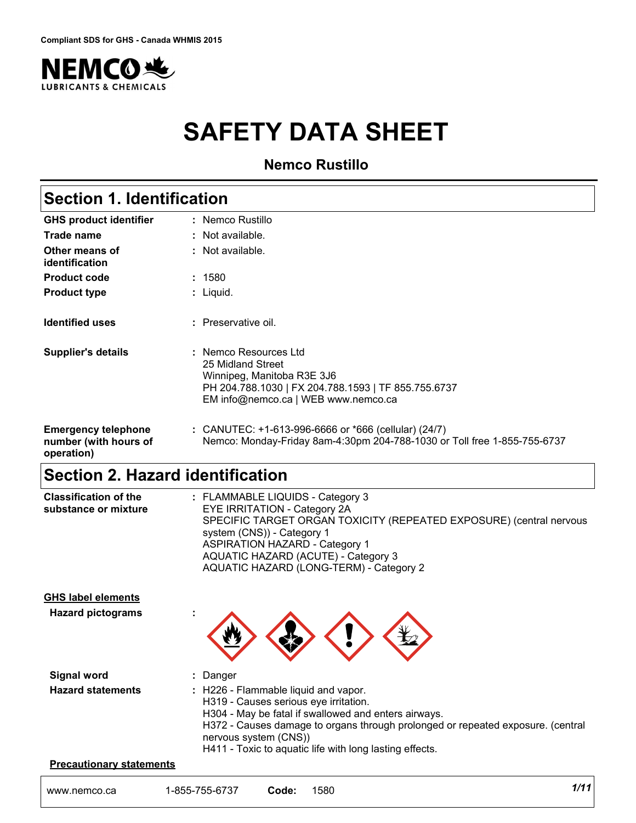

# **SAFETY DATA SHEET**

**Nemco Rustillo**

# **Section 1. Identification**

| <b>GHS product identifier</b>                                     | : Nemco Rustillo                                                                                                                                                       |
|-------------------------------------------------------------------|------------------------------------------------------------------------------------------------------------------------------------------------------------------------|
| Trade name                                                        | : Not available.                                                                                                                                                       |
| Other means of<br>identification                                  | : Not available.                                                                                                                                                       |
| <b>Product code</b>                                               | : 1580                                                                                                                                                                 |
| <b>Product type</b>                                               | : Liquid.                                                                                                                                                              |
| <b>Identified uses</b>                                            | : Preservative oil.                                                                                                                                                    |
| <b>Supplier's details</b>                                         | : Nemco Resources Ltd<br>25 Midland Street<br>Winnipeg, Manitoba R3E 3J6<br>PH 204.788.1030   FX 204.788.1593   TF 855.755.6737<br>EM info@nemco.ca   WEB www.nemco.ca |
| <b>Emergency telephone</b><br>number (with hours of<br>operation) | : CANUTEC: +1-613-996-6666 or *666 (cellular) (24/7)<br>Nemco: Monday-Friday 8am-4:30pm 204-788-1030 or Toll free 1-855-755-6737                                       |

# **Section 2. Hazard identification**

| <b>Classification of the</b> | : FLAMMABLE LIQUIDS - Category 3                                    |
|------------------------------|---------------------------------------------------------------------|
| substance or mixture         | <b>EYE IRRITATION - Category 2A</b>                                 |
|                              | SPECIFIC TARGET ORGAN TOXICITY (REPEATED EXPOSURE) (central nervous |
|                              | system (CNS)) - Category 1                                          |
|                              | <b>ASPIRATION HAZARD - Category 1</b>                               |
|                              | AQUATIC HAZARD (ACUTE) - Category 3                                 |
|                              | AQUATIC HAZARD (LONG-TERM) - Category 2                             |
|                              |                                                                     |

### **GHS label elements**

**Hazard pictograms :**



| Signal word              | : Danger                                                                        |
|--------------------------|---------------------------------------------------------------------------------|
| <b>Hazard statements</b> | $\therefore$ H226 - Flammable liquid and vapor.                                 |
|                          | H319 - Causes serious eye irritation.                                           |
|                          | H304 - May be fatal if swallowed and enters airways.                            |
|                          | H372 - Causes damage to organs through prolonged or repeated exposure. (central |
|                          | nervous system (CNS))                                                           |
|                          | H411 - Toxic to aquatic life with long lasting effects.                         |

#### **Precautionary statements**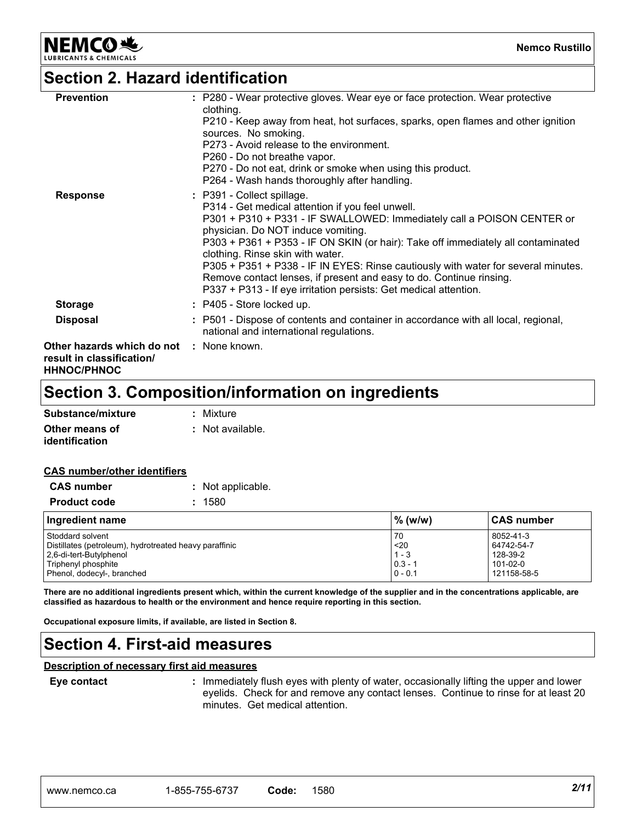**NEMCO头** 

**Nemco Rustillo**

### **Section 2. Hazard identification**

| : P280 - Wear protective gloves. Wear eye or face protection. Wear protective<br>P210 - Keep away from heat, hot surfaces, sparks, open flames and other ignition<br>P301 + P310 + P331 - IF SWALLOWED: Immediately call a POISON CENTER or<br>P303 + P361 + P353 - IF ON SKIN (or hair): Take off immediately all contaminated<br>P305 + P351 + P338 - IF IN EYES: Rinse cautiously with water for several minutes. |
|----------------------------------------------------------------------------------------------------------------------------------------------------------------------------------------------------------------------------------------------------------------------------------------------------------------------------------------------------------------------------------------------------------------------|
|                                                                                                                                                                                                                                                                                                                                                                                                                      |
| : P501 - Dispose of contents and container in accordance with all local, regional,                                                                                                                                                                                                                                                                                                                                   |
|                                                                                                                                                                                                                                                                                                                                                                                                                      |
|                                                                                                                                                                                                                                                                                                                                                                                                                      |

# **Section 3. Composition/information on ingredients**

| Substance/mixture     | : Mixture        |
|-----------------------|------------------|
| Other means of        | : Not available. |
| <i>identification</i> |                  |

### **CAS number/other identifiers**

| <b>CAS number</b><br>Not applicable.                                                                                                                       |      |                                                 |                                                                |
|------------------------------------------------------------------------------------------------------------------------------------------------------------|------|-------------------------------------------------|----------------------------------------------------------------|
| <b>Product code</b>                                                                                                                                        | 1580 |                                                 |                                                                |
| Ingredient name                                                                                                                                            |      | $\%$ (w/w)                                      | <b>CAS number</b>                                              |
| Stoddard solvent<br>Distillates (petroleum), hydrotreated heavy paraffinic<br>2.6-di-tert-Butylphenol<br>Triphenyl phosphite<br>Phenol, dodecyl-, branched |      | 70<br>$20$<br>$1 - 3$<br>$0.3 - 7$<br>$0 - 0.1$ | 8052-41-3<br>64742-54-7<br>128-39-2<br>101-02-0<br>121158-58-5 |

**There are no additional ingredients present which, within the current knowledge of the supplier and in the concentrations applicable, are classified as hazardous to health or the environment and hence require reporting in this section.**

**Occupational exposure limits, if available, are listed in Section 8.**

# **Section 4. First-aid measures**

### **Description of necessary first aid measures**

### **Eye contact :**

: Immediately flush eyes with plenty of water, occasionally lifting the upper and lower eyelids. Check for and remove any contact lenses. Continue to rinse for at least 20 minutes. Get medical attention.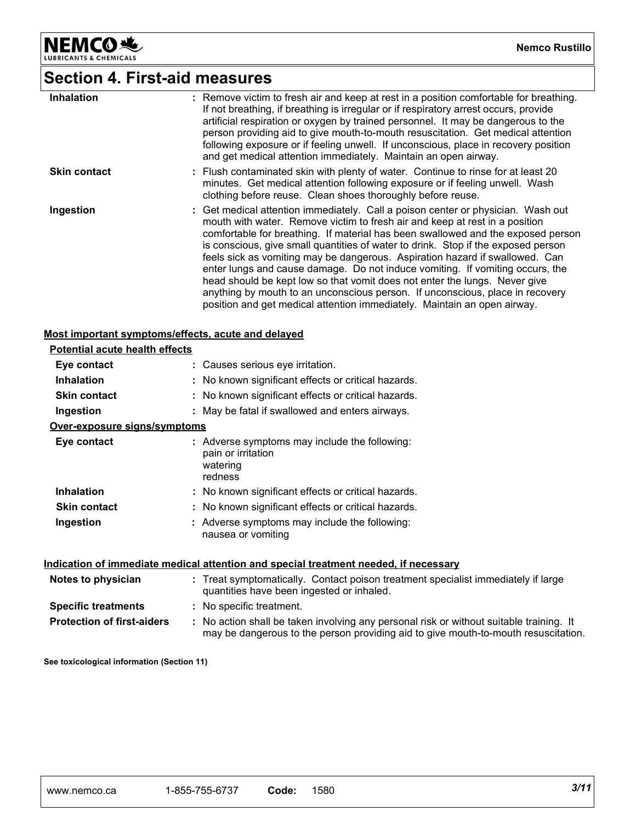NEMCO<sup>N</sup>

# **Section 4. First-aid measures**

| <b>Inhalation</b>   | : Remove victim to fresh air and keep at rest in a position comfortable for breathing.<br>If not breathing, if breathing is irregular or if respiratory arrest occurs, provide<br>artificial respiration or oxygen by trained personnel. It may be dangerous to the<br>person providing aid to give mouth-to-mouth resuscitation. Get medical attention<br>following exposure or if feeling unwell. If unconscious, place in recovery position<br>and get medical attention immediately. Maintain an open airway.                                                                                                                                                                                                                                    |
|---------------------|------------------------------------------------------------------------------------------------------------------------------------------------------------------------------------------------------------------------------------------------------------------------------------------------------------------------------------------------------------------------------------------------------------------------------------------------------------------------------------------------------------------------------------------------------------------------------------------------------------------------------------------------------------------------------------------------------------------------------------------------------|
| <b>Skin contact</b> | : Flush contaminated skin with plenty of water. Continue to rinse for at least 20<br>minutes. Get medical attention following exposure or if feeling unwell. Wash<br>clothing before reuse. Clean shoes thoroughly before reuse.                                                                                                                                                                                                                                                                                                                                                                                                                                                                                                                     |
| Ingestion           | : Get medical attention immediately. Call a poison center or physician. Wash out<br>mouth with water. Remove victim to fresh air and keep at rest in a position<br>comfortable for breathing. If material has been swallowed and the exposed person<br>is conscious, give small quantities of water to drink. Stop if the exposed person<br>feels sick as vomiting may be dangerous. Aspiration hazard if swallowed. Can<br>enter lungs and cause damage. Do not induce vomiting. If vomiting occurs, the<br>head should be kept low so that vomit does not enter the lungs. Never give<br>anything by mouth to an unconscious person. If unconscious, place in recovery<br>position and get medical attention immediately. Maintain an open airway. |

### **Most important symptoms/effects, acute and delayed**

| <b>Potential acute health effects</b> |                                                                                            |
|---------------------------------------|--------------------------------------------------------------------------------------------|
| Eye contact                           | : Causes serious eye irritation.                                                           |
| <b>Inhalation</b>                     | : No known significant effects or critical hazards.                                        |
| <b>Skin contact</b>                   | : No known significant effects or critical hazards.                                        |
| Ingestion                             | : May be fatal if swallowed and enters airways.                                            |
| <u>Over-exposure signs/symptoms</u>   |                                                                                            |
| Eye contact                           | : Adverse symptoms may include the following:<br>pain or irritation<br>watering<br>redness |
| <b>Inhalation</b>                     | : No known significant effects or critical hazards.                                        |
| <b>Skin contact</b>                   | : No known significant effects or critical hazards.                                        |
| Ingestion                             | : Adverse symptoms may include the following:<br>nausea or vomiting                        |

### **Indication of immediate medical attention and special treatment needed, if necessary**

| Notes to physician                | : Treat symptomatically. Contact poison treatment specialist immediately if large<br>quantities have been ingested or inhaled.                                                |  |
|-----------------------------------|-------------------------------------------------------------------------------------------------------------------------------------------------------------------------------|--|
| <b>Specific treatments</b>        | : No specific treatment.                                                                                                                                                      |  |
| <b>Protection of first-aiders</b> | : No action shall be taken involving any personal risk or without suitable training. It<br>may be dangerous to the person providing aid to give mouth-to-mouth resuscitation. |  |

**See toxicological information (Section 11)**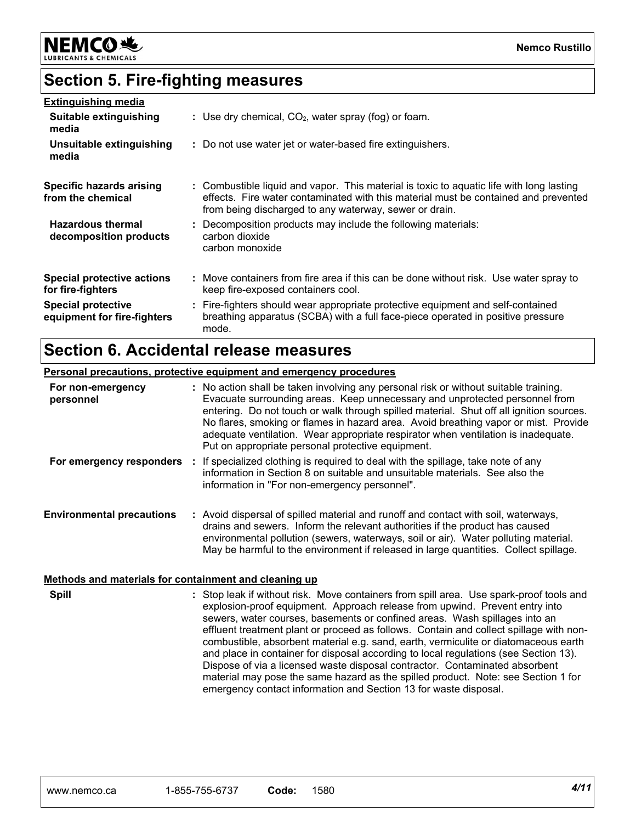

# **Section 5. Fire-fighting measures**

| <b>Extinguishing media</b>                               |                                                                                                                                                                                                                                           |
|----------------------------------------------------------|-------------------------------------------------------------------------------------------------------------------------------------------------------------------------------------------------------------------------------------------|
| Suitable extinguishing<br>media                          | : Use dry chemical, $CO2$ , water spray (fog) or foam.                                                                                                                                                                                    |
| Unsuitable extinguishing<br>media                        | : Do not use water jet or water-based fire extinguishers.                                                                                                                                                                                 |
| <b>Specific hazards arising</b><br>from the chemical     | : Combustible liquid and vapor. This material is toxic to aquatic life with long lasting<br>effects. Fire water contaminated with this material must be contained and prevented<br>from being discharged to any waterway, sewer or drain. |
| <b>Hazardous thermal</b><br>decomposition products       | : Decomposition products may include the following materials:<br>carbon dioxide<br>carbon monoxide                                                                                                                                        |
| Special protective actions<br>for fire-fighters          | : Move containers from fire area if this can be done without risk. Use water spray to<br>keep fire-exposed containers cool.                                                                                                               |
| <b>Special protective</b><br>equipment for fire-fighters | : Fire-fighters should wear appropriate protective equipment and self-contained<br>breathing apparatus (SCBA) with a full face-piece operated in positive pressure<br>mode.                                                               |

### **Section 6. Accidental release measures**

### **Environmental precautions Personal precautions, protective equipment and emergency procedures :** Avoid dispersal of spilled material and runoff and contact with soil, waterways, **:** No action shall be taken involving any personal risk or without suitable training. Evacuate surrounding areas. Keep unnecessary and unprotected personnel from entering. Do not touch or walk through spilled material. Shut off all ignition sources. No flares, smoking or flames in hazard area. Avoid breathing vapor or mist. Provide adequate ventilation. Wear appropriate respirator when ventilation is inadequate. Put on appropriate personal protective equipment. drains and sewers. Inform the relevant authorities if the product has caused environmental pollution (sewers, waterways, soil or air). Water polluting material. May be harmful to the environment if released in large quantities. Collect spillage. **For non-emergency personnel For emergency responders :** If specialized clothing is required to deal with the spillage, take note of any information in Section 8 on suitable and unsuitable materials. See also the information in "For non-emergency personnel".

### **Methods and materials for containment and cleaning up**

Stop leak if without risk. Move containers from spill area. Use spark-proof tools and **:** explosion-proof equipment. Approach release from upwind. Prevent entry into sewers, water courses, basements or confined areas. Wash spillages into an effluent treatment plant or proceed as follows. Contain and collect spillage with noncombustible, absorbent material e.g. sand, earth, vermiculite or diatomaceous earth and place in container for disposal according to local regulations (see Section 13). Dispose of via a licensed waste disposal contractor. Contaminated absorbent material may pose the same hazard as the spilled product. Note: see Section 1 for emergency contact information and Section 13 for waste disposal. **Spill**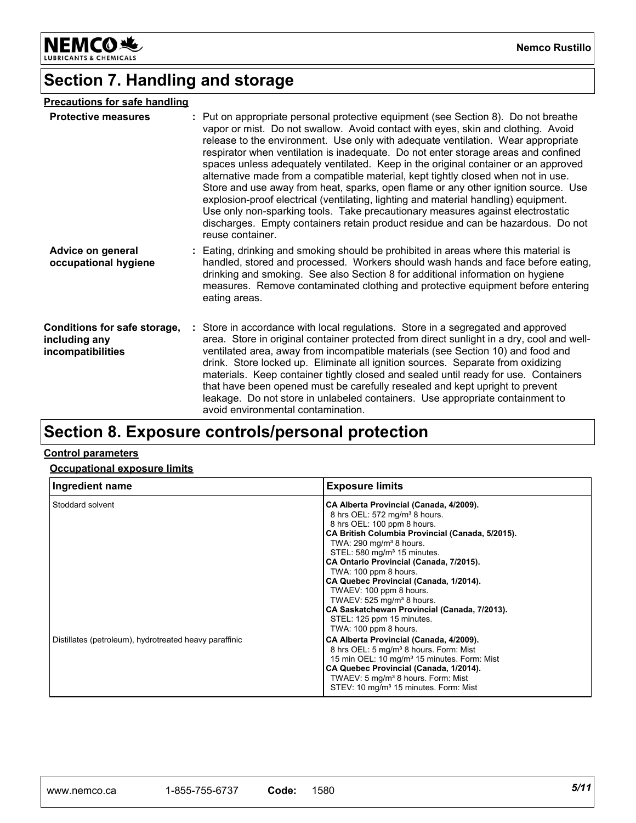

**Nemco Rustillo**

# **Section 7. Handling and storage**

### **Precautions for safe handling**

| <b>Protective measures</b>                                         | : Put on appropriate personal protective equipment (see Section 8). Do not breathe<br>vapor or mist. Do not swallow. Avoid contact with eyes, skin and clothing. Avoid<br>release to the environment. Use only with adequate ventilation. Wear appropriate<br>respirator when ventilation is inadequate. Do not enter storage areas and confined<br>spaces unless adequately ventilated. Keep in the original container or an approved<br>alternative made from a compatible material, kept tightly closed when not in use.<br>Store and use away from heat, sparks, open flame or any other ignition source. Use<br>explosion-proof electrical (ventilating, lighting and material handling) equipment.<br>Use only non-sparking tools. Take precautionary measures against electrostatic<br>discharges. Empty containers retain product residue and can be hazardous. Do not<br>reuse container. |
|--------------------------------------------------------------------|----------------------------------------------------------------------------------------------------------------------------------------------------------------------------------------------------------------------------------------------------------------------------------------------------------------------------------------------------------------------------------------------------------------------------------------------------------------------------------------------------------------------------------------------------------------------------------------------------------------------------------------------------------------------------------------------------------------------------------------------------------------------------------------------------------------------------------------------------------------------------------------------------|
| Advice on general<br>occupational hygiene                          | : Eating, drinking and smoking should be prohibited in areas where this material is<br>handled, stored and processed. Workers should wash hands and face before eating,<br>drinking and smoking. See also Section 8 for additional information on hygiene<br>measures. Remove contaminated clothing and protective equipment before entering<br>eating areas.                                                                                                                                                                                                                                                                                                                                                                                                                                                                                                                                      |
| Conditions for safe storage,<br>including any<br>incompatibilities | : Store in accordance with local regulations. Store in a segregated and approved<br>area. Store in original container protected from direct sunlight in a dry, cool and well-<br>ventilated area, away from incompatible materials (see Section 10) and food and<br>drink. Store locked up. Eliminate all ignition sources. Separate from oxidizing<br>materials. Keep container tightly closed and sealed until ready for use. Containers<br>that have been opened must be carefully resealed and kept upright to prevent<br>leakage. Do not store in unlabeled containers. Use appropriate containment to<br>avoid environmental contamination.                                                                                                                                                                                                                                                  |

# **Section 8. Exposure controls/personal protection**

### **Control parameters**

### **Occupational exposure limits**

| Ingredient name                                        | <b>Exposure limits</b>                                                                                                                                                                                                                                                                                                                                                                                                                                                                                                                           |
|--------------------------------------------------------|--------------------------------------------------------------------------------------------------------------------------------------------------------------------------------------------------------------------------------------------------------------------------------------------------------------------------------------------------------------------------------------------------------------------------------------------------------------------------------------------------------------------------------------------------|
| Stoddard solvent                                       | CA Alberta Provincial (Canada, 4/2009).<br>8 hrs OEL: 572 mg/m <sup>3</sup> 8 hours.<br>8 hrs OEL: 100 ppm 8 hours.<br>CA British Columbia Provincial (Canada, 5/2015).<br>TWA: $290 \text{ mg/m}^3$ 8 hours.<br>STEL: 580 mg/m <sup>3</sup> 15 minutes.<br>CA Ontario Provincial (Canada, 7/2015).<br>TWA: 100 ppm 8 hours.<br>CA Quebec Provincial (Canada, 1/2014).<br>TWAEV: 100 ppm 8 hours.<br>TWAEV: 525 mg/m <sup>3</sup> 8 hours.<br>CA Saskatchewan Provincial (Canada, 7/2013).<br>STEL: 125 ppm 15 minutes.<br>TWA: 100 ppm 8 hours. |
| Distillates (petroleum), hydrotreated heavy paraffinic | CA Alberta Provincial (Canada, 4/2009).<br>8 hrs OEL: 5 mg/m <sup>3</sup> 8 hours. Form: Mist<br>15 min OEL: 10 mg/m <sup>3</sup> 15 minutes. Form: Mist<br>CA Quebec Provincial (Canada, 1/2014).<br>TWAEV: 5 mg/m <sup>3</sup> 8 hours. Form: Mist<br>STEV: 10 mg/m <sup>3</sup> 15 minutes. Form: Mist                                                                                                                                                                                                                                        |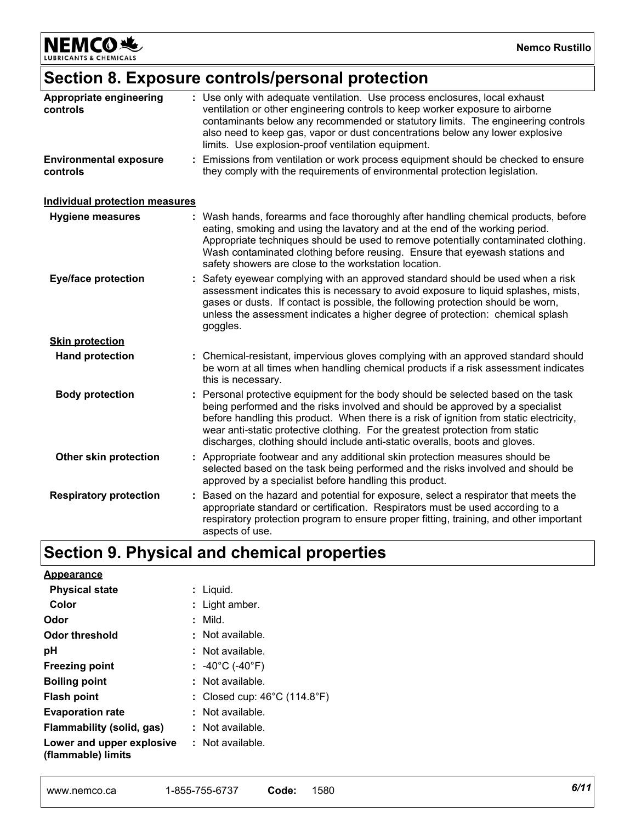**NEMCO头** LUBRICANTS & CHEMICALS

# **Section 8. Exposure controls/personal protection**

| controls                                  | : Use only with adequate ventilation. Use process enclosures, local exhaust<br>ventilation or other engineering controls to keep worker exposure to airborne<br>contaminants below any recommended or statutory limits. The engineering controls<br>also need to keep gas, vapor or dust concentrations below any lower explosive<br>limits. Use explosion-proof ventilation equipment.                                     |
|-------------------------------------------|-----------------------------------------------------------------------------------------------------------------------------------------------------------------------------------------------------------------------------------------------------------------------------------------------------------------------------------------------------------------------------------------------------------------------------|
| <b>Environmental exposure</b><br>controls | Emissions from ventilation or work process equipment should be checked to ensure<br>they comply with the requirements of environmental protection legislation.                                                                                                                                                                                                                                                              |
| <b>Individual protection measures</b>     |                                                                                                                                                                                                                                                                                                                                                                                                                             |
| <b>Hygiene measures</b>                   | : Wash hands, forearms and face thoroughly after handling chemical products, before<br>eating, smoking and using the lavatory and at the end of the working period.<br>Appropriate techniques should be used to remove potentially contaminated clothing.<br>Wash contaminated clothing before reusing. Ensure that eyewash stations and<br>safety showers are close to the workstation location.                           |
| <b>Eye/face protection</b>                | Safety eyewear complying with an approved standard should be used when a risk<br>assessment indicates this is necessary to avoid exposure to liquid splashes, mists,<br>gases or dusts. If contact is possible, the following protection should be worn,<br>unless the assessment indicates a higher degree of protection: chemical splash<br>goggles.                                                                      |
| <b>Skin protection</b>                    |                                                                                                                                                                                                                                                                                                                                                                                                                             |
| <b>Hand protection</b>                    | Chemical-resistant, impervious gloves complying with an approved standard should<br>be worn at all times when handling chemical products if a risk assessment indicates<br>this is necessary.                                                                                                                                                                                                                               |
| <b>Body protection</b>                    | Personal protective equipment for the body should be selected based on the task<br>being performed and the risks involved and should be approved by a specialist<br>before handling this product. When there is a risk of ignition from static electricity,<br>wear anti-static protective clothing. For the greatest protection from static<br>discharges, clothing should include anti-static overalls, boots and gloves. |
| Other skin protection                     | : Appropriate footwear and any additional skin protection measures should be<br>selected based on the task being performed and the risks involved and should be<br>approved by a specialist before handling this product.                                                                                                                                                                                                   |
| <b>Respiratory protection</b>             | Based on the hazard and potential for exposure, select a respirator that meets the<br>appropriate standard or certification. Respirators must be used according to a<br>respiratory protection program to ensure proper fitting, training, and other important<br>aspects of use.                                                                                                                                           |

# **Section 9. Physical and chemical properties**

| <b>Appearance</b>                                                       |                                                   |
|-------------------------------------------------------------------------|---------------------------------------------------|
| <b>Physical state</b>                                                   | : Liquid.                                         |
| Color                                                                   | $:$ Light amber.                                  |
| Odor                                                                    | $:$ Mild.                                         |
| <b>Odor threshold</b>                                                   | : Not available.                                  |
| рH                                                                      | : Not available.                                  |
| <b>Freezing point</b>                                                   | : -40°C (-40°F)                                   |
| <b>Boiling point</b>                                                    | $:$ Not available.                                |
| <b>Flash point</b>                                                      | : Closed cup: $46^{\circ}$ C (114.8 $^{\circ}$ F) |
| <b>Evaporation rate</b>                                                 | $:$ Not available.                                |
| Flammability (solid, gas)                                               | $\therefore$ Not available.                       |
| <b>Lower and upper explosive : Not available.</b><br>(flammable) limits |                                                   |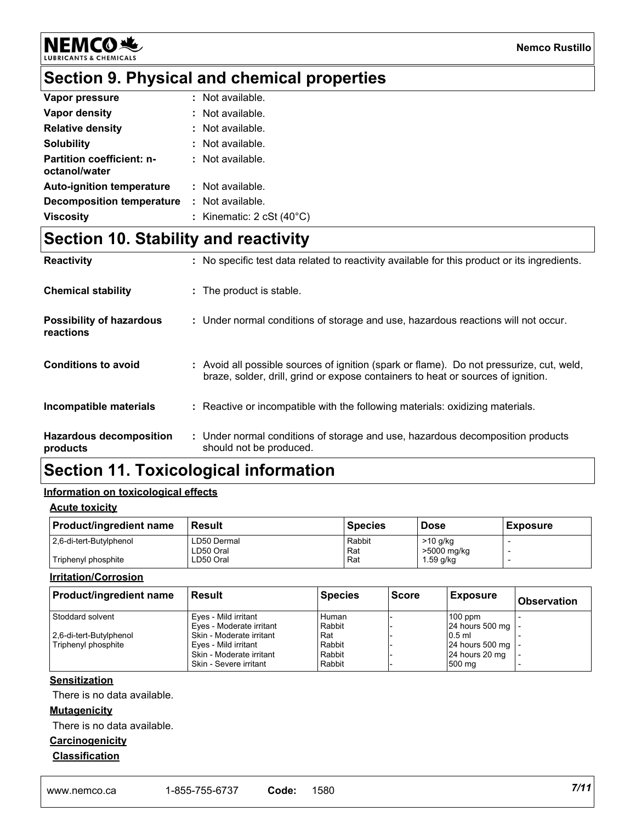

# **Section 9. Physical and chemical properties**

| Vapor pressure                                    | : Not available.                   |
|---------------------------------------------------|------------------------------------|
| Vapor density                                     | : Not available.                   |
| <b>Relative density</b>                           | : Not available.                   |
| <b>Solubility</b>                                 | : Not available.                   |
| <b>Partition coefficient: n-</b><br>octanol/water | : Not available.                   |
| <b>Auto-ignition temperature</b>                  | : Not available.                   |
| <b>Decomposition temperature</b>                  | : Not available.                   |
| <b>Viscosity</b>                                  | : Kinematic: $2 cSt (40^{\circ}C)$ |

# **Section 10. Stability and reactivity**

| <b>Reactivity</b>                            | : No specific test data related to reactivity available for this product or its ingredients.                                                                                 |
|----------------------------------------------|------------------------------------------------------------------------------------------------------------------------------------------------------------------------------|
| <b>Chemical stability</b>                    | : The product is stable.                                                                                                                                                     |
| <b>Possibility of hazardous</b><br>reactions | : Under normal conditions of storage and use, hazardous reactions will not occur.                                                                                            |
| <b>Conditions to avoid</b>                   | : Avoid all possible sources of ignition (spark or flame). Do not pressurize, cut, weld,<br>braze, solder, drill, grind or expose containers to heat or sources of ignition. |
| Incompatible materials                       | : Reactive or incompatible with the following materials: oxidizing materials.                                                                                                |
| <b>Hazardous decomposition</b><br>products   | : Under normal conditions of storage and use, hazardous decomposition products<br>should not be produced.                                                                    |

# **Section 11. Toxicological information**

### **Information on toxicological effects**

### **Acute toxicity**

| <b>Product/ingredient name</b> | Result      | Species | <b>Dose</b> | <b>Exposure</b> |
|--------------------------------|-------------|---------|-------------|-----------------|
| 2.6-di-tert-Butylphenol        | LD50 Dermal | Rabbit  | >10 g/kg    |                 |
|                                | ∟D50 Oral   | Rat     | >5000 mg/kg |                 |
| Triphenyl phosphite            | LD50 Oral   | Rat     | 1.59 g/kg   |                 |

### **Irritation/Corrosion**

| <b>Product/ingredient name</b> | <b>Result</b>            | <b>Species</b> | <b>Score</b> | <b>Exposure</b>     | <b>Observation</b> |
|--------------------------------|--------------------------|----------------|--------------|---------------------|--------------------|
| Stoddard solvent               | Eyes - Mild irritant     | Human          |              | $100$ ppm           |                    |
|                                | Eyes - Moderate irritant | Rabbit         |              | 24 hours 500 mg   - |                    |
| 2,6-di-tert-Butylphenol        | Skin - Moderate irritant | Rat            |              | $0.5$ ml            |                    |
| Triphenyl phosphite            | Eyes - Mild irritant     | Rabbit         |              | 24 hours 500 mg   - |                    |
|                                | Skin - Moderate irritant | Rabbit         |              | 24 hours 20 mg      |                    |
|                                | Skin - Severe irritant   | Rabbit         |              | 500 mg              |                    |

### **Sensitization**

There is no data available.

### **Mutagenicity**

There is no data available.

### **Carcinogenicity**

**Classification**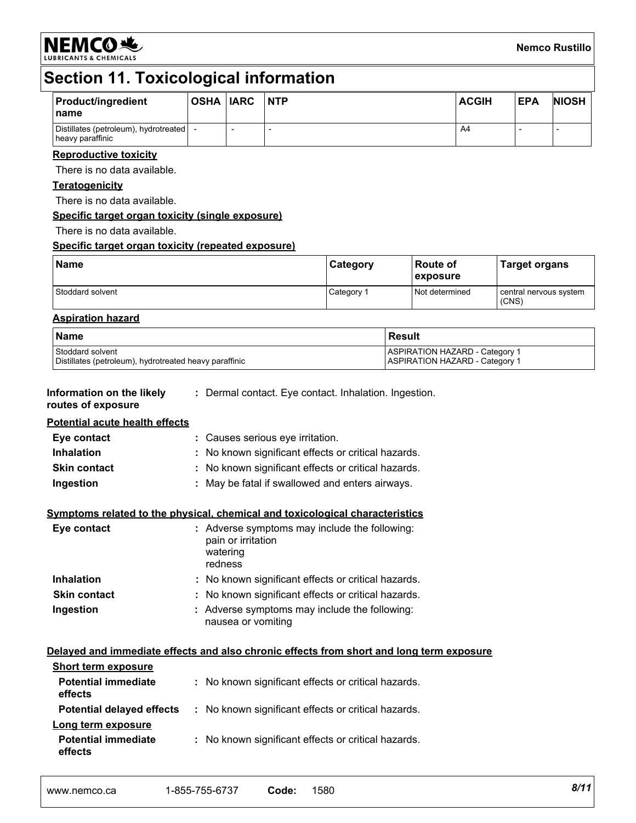**NEMCO头** 

# **Section 11. Toxicological information**

| <b>Product/ingredient</b><br>name                             | <b>OSHA IARC</b> | <b>NTP</b> | <b>ACGIH</b> | <b>EPA</b> | <b>NIOSH</b> |
|---------------------------------------------------------------|------------------|------------|--------------|------------|--------------|
| Distillates (petroleum), hydrotreated   -<br>heavy paraffinic |                  |            | A4           |            |              |

### **Reproductive toxicity**

There is no data available.

### **Teratogenicity**

There is no data available.

### **Specific target organ toxicity (single exposure)**

There is no data available.

### **Specific target organ toxicity (repeated exposure)**

| <b>Name</b>      | <b>Category</b> | ∣Route of<br>exposure | <b>Target organs</b>            |
|------------------|-----------------|-----------------------|---------------------------------|
| Stoddard solvent | Category 1      | Not determined        | central nervous system<br>(CNS) |

### **Aspiration hazard**

| l Name                                                 | l Result                              |
|--------------------------------------------------------|---------------------------------------|
| l Stoddard solvent                                     | <b>ASPIRATION HAZARD - Category 1</b> |
| Distillates (petroleum), hydrotreated heavy paraffinic | <b>ASPIRATION HAZARD - Category 1</b> |

#### **Information on the likely :** Dermal contact. Eye contact. Inhalation. Ingestion.

**routes of exposure**

### **Potential acute health effects**

| Eye contact         | : Causes serious eye irritation.                    |
|---------------------|-----------------------------------------------------|
| Inhalation          | : No known significant effects or critical hazards. |
| <b>Skin contact</b> | : No known significant effects or critical hazards. |
| Ingestion           | : May be fatal if swallowed and enters airways.     |

### **Symptoms related to the physical, chemical and toxicological characteristics**

| Eye contact         | : Adverse symptoms may include the following:<br>pain or irritation<br>watering<br>redness |
|---------------------|--------------------------------------------------------------------------------------------|
| <b>Inhalation</b>   | : No known significant effects or critical hazards.                                        |
| <b>Skin contact</b> | : No known significant effects or critical hazards.                                        |
| Ingestion           | : Adverse symptoms may include the following:<br>nausea or vomiting                        |

### **Delayed and immediate effects and also chronic effects from short and long term exposure**

| <b>Short term exposure</b>            |                                                     |
|---------------------------------------|-----------------------------------------------------|
| <b>Potential immediate</b><br>effects | : No known significant effects or critical hazards. |
| <b>Potential delayed effects</b>      | No known significant effects or critical hazards.   |
| Long term exposure                    |                                                     |
| <b>Potential immediate</b><br>effects | : No known significant effects or critical hazards. |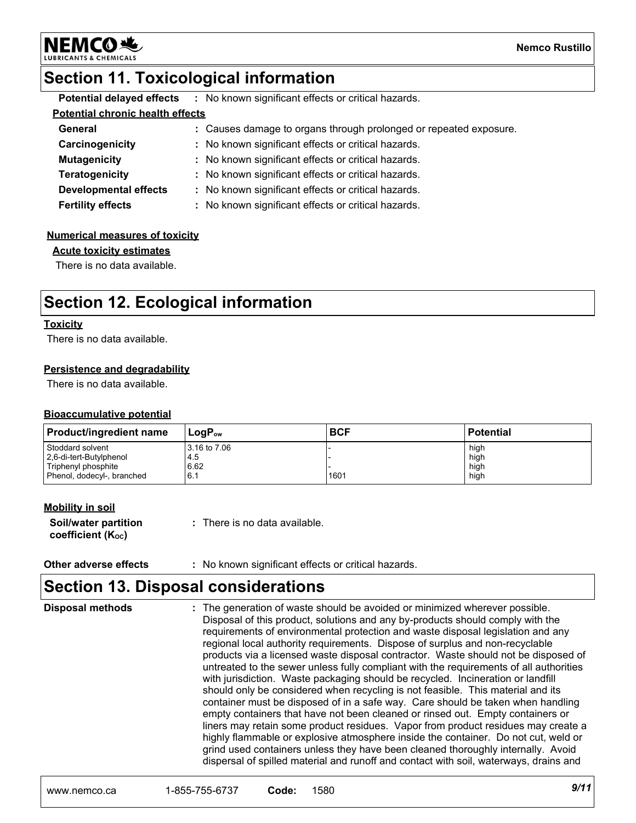

**Nemco Rustillo**

# **Section 11. Toxicological information**

|                                         |  | <b>Potential delayed effects</b> : No known significant effects or critical hazards. |
|-----------------------------------------|--|--------------------------------------------------------------------------------------|
| <b>Potential chronic health effects</b> |  |                                                                                      |
| General                                 |  | : Causes damage to organs through prolonged or repeated exposure.                    |
| Carcinogenicity                         |  | : No known significant effects or critical hazards.                                  |
| <b>Mutagenicity</b>                     |  | : No known significant effects or critical hazards.                                  |
| <b>Teratogenicity</b>                   |  | : No known significant effects or critical hazards.                                  |
| Developmental effects                   |  | : No known significant effects or critical hazards.                                  |
| <b>Fertility effects</b>                |  | : No known significant effects or critical hazards.                                  |

### **Numerical measures of toxicity**

#### **Acute toxicity estimates**

There is no data available.

# **Section 12. Ecological information**

### **Toxicity**

There is no data available.

### **Persistence and degradability**

There is no data available.

### **Bioaccumulative potential**

| <b>Product/ingredient name</b> | $LogP_{ow}$  | <b>BCF</b> | <b>Potential</b> |
|--------------------------------|--------------|------------|------------------|
| Stoddard solvent               | 3.16 to 7.06 |            | high             |
| 2,6-di-tert-Butylphenol        | 4.5          |            | high             |
| Triphenyl phosphite            | 6.62         | 1601       | high             |
| Phenol, dodecyl-, branched     | 6.1          |            | high             |

### **Mobility in soil**

| <b>Soil/water partition</b> | : There is no data available. |
|-----------------------------|-------------------------------|
| coefficient $(K_{oc})$      |                               |

### **Other adverse effects** : No known significant effects or critical hazards.

### **Section 13. Disposal considerations**

The generation of waste should be avoided or minimized wherever possible. Disposal of this product, solutions and any by-products should comply with the requirements of environmental protection and waste disposal legislation and any regional local authority requirements. Dispose of surplus and non-recyclable products via a licensed waste disposal contractor. Waste should not be disposed of untreated to the sewer unless fully compliant with the requirements of all authorities with jurisdiction. Waste packaging should be recycled. Incineration or landfill should only be considered when recycling is not feasible. This material and its container must be disposed of in a safe way. Care should be taken when handling empty containers that have not been cleaned or rinsed out. Empty containers or liners may retain some product residues. Vapor from product residues may create a highly flammable or explosive atmosphere inside the container. Do not cut, weld or grind used containers unless they have been cleaned thoroughly internally. Avoid dispersal of spilled material and runoff and contact with soil, waterways, drains and **Disposal methods :**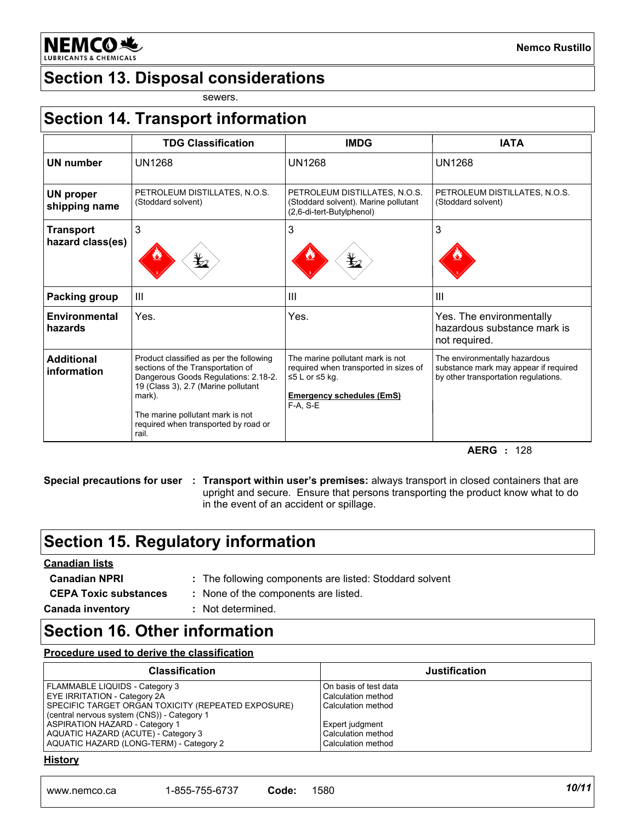**NEMCO头** 

# **Section 13. Disposal considerations**

sewers.

|                                   | <b>TDG Classification</b>                                                                                                                                             | <b>IMDG</b>                                                                                                                                     | <b>IATA</b>                                                                                                    |
|-----------------------------------|-----------------------------------------------------------------------------------------------------------------------------------------------------------------------|-------------------------------------------------------------------------------------------------------------------------------------------------|----------------------------------------------------------------------------------------------------------------|
| <b>UN number</b>                  | <b>UN1268</b>                                                                                                                                                         | <b>UN1268</b>                                                                                                                                   | <b>UN1268</b>                                                                                                  |
| <b>UN proper</b><br>shipping name | PETROLEUM DISTILLATES, N.O.S.<br>(Stoddard solvent)                                                                                                                   | PETROLEUM DISTILLATES, N.O.S.<br>(Stoddard solvent). Marine pollutant<br>(2,6-di-tert-Butylphenol)                                              | PETROLEUM DISTILLATES, N.O.S.<br>(Stoddard solvent)                                                            |
| <b>Transport</b>                  | 3                                                                                                                                                                     | 3                                                                                                                                               | 3                                                                                                              |
| hazard class(es)                  | $\bigstar$                                                                                                                                                            | Ł                                                                                                                                               |                                                                                                                |
| Packing group                     | III                                                                                                                                                                   | $\mathbf{III}$                                                                                                                                  | $\mathbf{III}$                                                                                                 |
| Environmental<br>hazards          | Yes.                                                                                                                                                                  | Yes.                                                                                                                                            | Yes. The environmentally<br>hazardous substance mark is<br>not required.                                       |
| <b>Additional</b><br>information  | Product classified as per the following<br>sections of the Transportation of<br>Dangerous Goods Regulations: 2.18-2.<br>19 (Class 3), 2.7 (Marine pollutant<br>mark). | The marine pollutant mark is not<br>required when transported in sizes of<br>$≤5$ L or $≤5$ kg.<br><b>Emergency schedules (EmS)</b><br>F-A, S-E | The environmentally hazardous<br>substance mark may appear if required<br>by other transportation regulations. |
|                                   | The marine pollutant mark is not<br>required when transported by road or<br>rail.                                                                                     |                                                                                                                                                 |                                                                                                                |

### **AERG :** 128

**Special precautions for user Transport within user's premises:** always transport in closed containers that are **:** upright and secure. Ensure that persons transporting the product know what to do in the event of an accident or spillage.

# **Section 15. Regulatory information**

### **Canadian lists**

- **CEPA Toxic substances :** None of the components are listed.
	-
- **Canada inventory :** Not determined.

# **Section 16. Other information**

### **Procedure used to derive the classification**

| <b>Classification</b>                              | <b>Justification</b>  |
|----------------------------------------------------|-----------------------|
| FLAMMABLE LIQUIDS - Category 3                     | On basis of test data |
| EYE IRRITATION - Category 2A                       | Calculation method    |
| SPECIFIC TARGET ORGAN TOXICITY (REPEATED EXPOSURE) | Calculation method    |
| (central nervous system (CNS)) - Category 1        |                       |
| <b>ASPIRATION HAZARD - Category 1</b>              | Expert judgment       |
| AQUATIC HAZARD (ACUTE) - Category 3                | Calculation method    |
| AQUATIC HAZARD (LONG-TERM) - Category 2            | Calculation method    |

### **History**